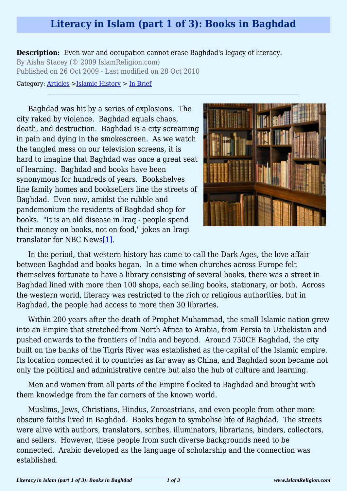## **Literacy in Islam (part 1 of 3): Books in Baghdad**

**Description:** Even war and occupation cannot erase Baghdad's legacy of literacy. By Aisha Stacey (© 2009 IslamReligion.com) Published on 26 Oct 2009 - Last modified on 28 Oct 2010

Category: [Articles](http://www.islamreligion.com/articles/) >[Islamic History](http://www.islamreligion.com/category/87/) > [In Brief](http://www.islamreligion.com/category/88/)

Baghdad was hit by a series of explosions. The city raked by violence. Baghdad equals chaos, death, and destruction. Baghdad is a city screaming in pain and dying in the smokescreen. As we watch the tangled mess on our television screens, it is hard to imagine that Baghdad was once a great seat of learning. Baghdad and books have been synonymous for hundreds of years. Bookshelves line family homes and booksellers line the streets of Baghdad. Even now, amidst the rubble and pandemonium the residents of Baghdad shop for books. "It is an old disease in Iraq - people spend their money on books, not on food," jokes an Iraqi translator for NBC New[s\[1\].](#page-2-0)



<span id="page-0-0"></span>In the period, that western history has come to call the Dark Ages, the love affair between Baghdad and books began. In a time when churches across Europe felt themselves fortunate to have a library consisting of several books, there was a street in Baghdad lined with more then 100 shops, each selling books, stationary, or both. Across the western world, literacy was restricted to the rich or religious authorities, but in Baghdad, the people had access to more then 30 libraries.

Within 200 years after the death of Prophet Muhammad, the small Islamic nation grew into an Empire that stretched from North Africa to Arabia, from Persia to Uzbekistan and pushed onwards to the frontiers of India and beyond. Around 750CE Baghdad, the city built on the banks of the Tigris River was established as the capital of the Islamic empire. Its location connected it to countries as far away as China, and Baghdad soon became not only the political and administrative centre but also the hub of culture and learning.

Men and women from all parts of the Empire flocked to Baghdad and brought with them knowledge from the far corners of the known world.

Muslims, Jews, Christians, Hindus, Zoroastrians, and even people from other more obscure faiths lived in Baghdad. Books began to symbolise life of Baghdad. The streets were alive with authors, translators, scribes, illuminators, librarians, binders, collectors, and sellers. However, these people from such diverse backgrounds need to be connected. Arabic developed as the language of scholarship and the connection was established.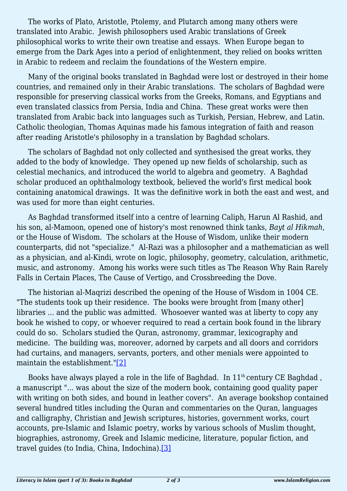The works of Plato, Aristotle, Ptolemy, and Plutarch among many others were translated into Arabic. Jewish philosophers used Arabic translations of Greek philosophical works to write their own treatise and essays. When Europe began to emerge from the Dark Ages into a period of enlightenment, they relied on books written in Arabic to redeem and reclaim the foundations of the Western empire.

Many of the original books translated in Baghdad were lost or destroyed in their home countries, and remained only in their Arabic translations. The scholars of Baghdad were responsible for preserving classical works from the Greeks, Romans, and Egyptians and even translated classics from Persia, India and China. These great works were then translated from Arabic back into languages such as Turkish, Persian, Hebrew, and Latin. Catholic theologian, Thomas Aquinas made his famous integration of faith and reason after reading Aristotle's philosophy in a translation by Baghdad scholars.

The scholars of Baghdad not only collected and synthesised the great works, they added to the body of knowledge. They opened up new fields of scholarship, such as celestial mechanics, and introduced the world to algebra and geometry. A Baghdad scholar produced an ophthalmology textbook, believed the world's first medical book containing anatomical drawings. It was the definitive work in both the east and west, and was used for more than eight centuries.

As Baghdad transformed itself into a centre of learning Caliph, Harun Al Rashid, and his son, al-Mamoon, opened one of history's most renowned think tanks, *Bayt al Hikmah*, or the House of Wisdom. The scholars at the House of Wisdom, unlike their modern counterparts, did not "specialize." Al-Razi was a philosopher and a mathematician as well as a physician, and al-Kindi, wrote on logic, philosophy, geometry, calculation, arithmetic, music, and astronomy. Among his works were such titles as The Reason Why Rain Rarely Falls in Certain Places, The Cause of Vertigo, and Crossbreeding the Dove.

The historian al-Maqrizi described the opening of the House of Wisdom in 1004 CE. "The students took up their residence. The books were brought from [many other] libraries ... and the public was admitted. Whosoever wanted was at liberty to copy any book he wished to copy, or whoever required to read a certain book found in the library could do so. Scholars studied the Quran, astronomy, grammar, lexicography and medicine. The building was, moreover, adorned by carpets and all doors and corridors had curtains, and managers, servants, porters, and other menials were appointed to maintain the establishment."[\[2\]](#page-2-1)

<span id="page-1-1"></span><span id="page-1-0"></span>Books have always played a role in the life of Baghdad. In 11<sup>th</sup> century CE Baghdad, a manuscript "... was about the size of the modern book, containing good quality paper with writing on both sides, and bound in leather covers". An average bookshop contained several hundred titles including the Quran and commentaries on the Quran, languages and calligraphy, Christian and Jewish scriptures, histories, government works, court accounts, pre-Islamic and Islamic poetry, works by various schools of Muslim thought, biographies, astronomy, Greek and Islamic medicine, literature, popular fiction, and travel guides (to India, China, Indochina).[\[3\]](#page-2-2)